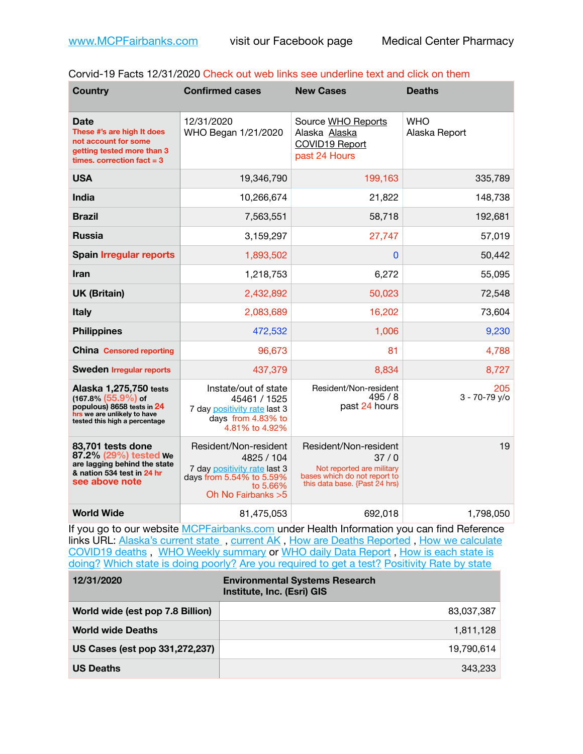| Corvid-19 Facts 12/31/2020 Check out web links see underline text and click on them |  |
|-------------------------------------------------------------------------------------|--|
|-------------------------------------------------------------------------------------|--|

| <b>Country</b>                                                                                                                                 | <b>Confirmed cases</b>                                                                                                             | <b>New Cases</b>                                                                                                            | <b>Deaths</b>               |
|------------------------------------------------------------------------------------------------------------------------------------------------|------------------------------------------------------------------------------------------------------------------------------------|-----------------------------------------------------------------------------------------------------------------------------|-----------------------------|
| <b>Date</b><br>These #'s are high It does<br>not account for some<br>getting tested more than 3<br>times, correction fact $=$ 3                | 12/31/2020<br>WHO Began 1/21/2020                                                                                                  | Source WHO Reports<br>Alaska Alaska<br>COVID19 Report<br>past 24 Hours                                                      | <b>WHO</b><br>Alaska Report |
| <b>USA</b>                                                                                                                                     | 19,346,790                                                                                                                         | 199,163                                                                                                                     | 335,789                     |
| <b>India</b>                                                                                                                                   | 10,266,674                                                                                                                         | 21,822                                                                                                                      | 148,738                     |
| <b>Brazil</b>                                                                                                                                  | 7,563,551                                                                                                                          | 58,718                                                                                                                      | 192,681                     |
| <b>Russia</b>                                                                                                                                  | 3,159,297                                                                                                                          | 27,747                                                                                                                      | 57,019                      |
| <b>Spain Irregular reports</b>                                                                                                                 | 1,893,502                                                                                                                          | $\mathbf{0}$                                                                                                                | 50,442                      |
| Iran                                                                                                                                           | 1,218,753                                                                                                                          | 6,272                                                                                                                       | 55,095                      |
| <b>UK (Britain)</b>                                                                                                                            | 2,432,892                                                                                                                          | 50,023                                                                                                                      | 72,548                      |
| <b>Italy</b>                                                                                                                                   | 2,083,689                                                                                                                          | 16,202                                                                                                                      | 73,604                      |
| <b>Philippines</b>                                                                                                                             | 472,532                                                                                                                            | 1,006                                                                                                                       | 9,230                       |
| <b>China Censored reporting</b>                                                                                                                | 96,673                                                                                                                             | 81                                                                                                                          | 4,788                       |
| <b>Sweden Irregular reports</b>                                                                                                                | 437,379                                                                                                                            | 8,834                                                                                                                       | 8,727                       |
| Alaska 1,275,750 tests<br>$(167.8\%)(55.9\%)$ of<br>populous) 8658 tests in 24<br>hrs we are unlikely to have<br>tested this high a percentage | Instate/out of state<br>45461 / 1525<br>7 day positivity rate last 3<br>days from 4.83% to<br>4.81% to 4.92%                       | Resident/Non-resident<br>495/8<br>past 24 hours                                                                             | 205<br>$3 - 70 - 79$ y/o    |
| 83,701 tests done<br>87.2% (29%) tested We<br>are lagging behind the state<br>& nation 534 test in 24 hr<br>see above note                     | Resident/Non-resident<br>4825 / 104<br>7 day positivity rate last 3<br>days from 5.54% to 5.59%<br>to 5.66%<br>Oh No Fairbanks > 5 | Resident/Non-resident<br>37/0<br>Not reported are military<br>bases which do not report to<br>this data base. {Past 24 hrs) | 19                          |
| <b>World Wide</b>                                                                                                                              | 81,475,053                                                                                                                         | 692,018                                                                                                                     | 1,798,050                   |

If you go to our website [MCPFairbanks.com](http://www.MCPFairbanks.com) under Health Information you can find Reference links URL: Alaska's current state, current AK, [How are Deaths Reported](http://dhss.alaska.gov/dph/Epi/id/Pages/COVID-19/deathcounts.aspx), How we calculate [COVID19 deaths](https://coronavirus-response-alaska-dhss.hub.arcgis.com/search?collection=Document&groupIds=41ccb3344ebc4bd682c74073eba21f42) , [WHO Weekly summary](http://www.who.int) or [WHO daily Data Report](https://covid19.who.int/table) , [How is each state is](https://www.msn.com/en-us/news/us/state-by-state-coronavirus-news/ar-BB13E1PX?fbclid=IwAR0_OBJH7lSyTN3ug_MsOeFnNgB1orTa9OBgilKJ7dhnwlVvHEsptuKkj1c)  [doing?](https://www.msn.com/en-us/news/us/state-by-state-coronavirus-news/ar-BB13E1PX?fbclid=IwAR0_OBJH7lSyTN3ug_MsOeFnNgB1orTa9OBgilKJ7dhnwlVvHEsptuKkj1c) [Which state is doing poorly?](https://bestlifeonline.com/covid-outbreak-your-state/?utm_source=nsltr&utm_medium=email&utm_content=covid-outbreak-your-state&utm_campaign=launch) [Are you required to get a test?](http://dhss.alaska.gov/dph/Epi/id/SiteAssets/Pages/HumanCoV/Whattodoafteryourtest.pdf) [Positivity Rate by state](https://coronavirus.jhu.edu/testing/individual-states/alaska)

| 12/31/2020                       | <b>Environmental Systems Research</b><br>Institute, Inc. (Esri) GIS |
|----------------------------------|---------------------------------------------------------------------|
| World wide (est pop 7.8 Billion) | 83,037,387                                                          |
| <b>World wide Deaths</b>         | 1,811,128                                                           |
| US Cases (est pop 331,272,237)   | 19,790,614                                                          |
| <b>US Deaths</b>                 | 343.233                                                             |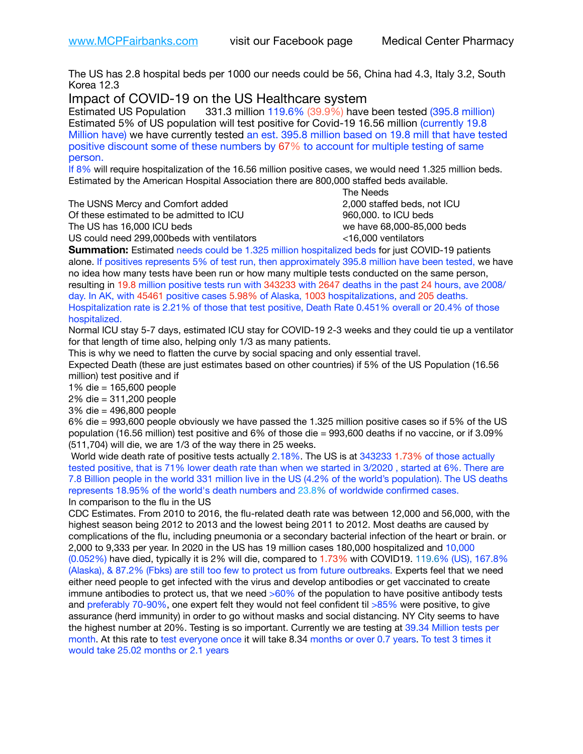The US has 2.8 hospital beds per 1000 our needs could be 56, China had 4.3, Italy 3.2, South Korea 12.3

Impact of COVID-19 on the US Healthcare system

Estimated US Population 331.3 million 119.6% (39.9%) have been tested (395.8 million) Estimated 5% of US population will test positive for Covid-19 16.56 million (currently 19.8 Million have) we have currently tested an est. 395.8 million based on 19.8 mill that have tested positive discount some of these numbers by 67% to account for multiple testing of same person.

If 8% will require hospitalization of the 16.56 million positive cases, we would need 1.325 million beds. Estimated by the American Hospital Association there are 800,000 staffed beds available. 

The USNS Mercy and Comfort added 2,000 staffed beds, not ICU

Of these estimated to be admitted to ICU 960,000. to ICU beds The US has 16,000 ICU beds we have 68,000-85,000 beds ve have 68,000-85,000 beds

 The Needs US could need 299,000beds with ventilators <16,000 ventilators

**Summation:** Estimated needs could be 1.325 million hospitalized beds for just COVID-19 patients alone. If positives represents 5% of test run, then approximately 395.8 million have been tested, we have no idea how many tests have been run or how many multiple tests conducted on the same person, resulting in 19.8 million positive tests run with 343233 with 2647 deaths in the past 24 hours, ave 2008/ day. In AK, with 45461 positive cases 5.98% of Alaska, 1003 hospitalizations, and 205 deaths. Hospitalization rate is 2.21% of those that test positive, Death Rate 0.451% overall or 20.4% of those hospitalized.

Normal ICU stay 5-7 days, estimated ICU stay for COVID-19 2-3 weeks and they could tie up a ventilator for that length of time also, helping only 1/3 as many patients.

This is why we need to flatten the curve by social spacing and only essential travel.

Expected Death (these are just estimates based on other countries) if 5% of the US Population (16.56 million) test positive and if

1% die = 165,600 people

2% die = 311,200 people

3% die = 496,800 people

6% die = 993,600 people obviously we have passed the 1.325 million positive cases so if 5% of the US population (16.56 million) test positive and 6% of those die = 993,600 deaths if no vaccine, or if 3.09% (511,704) will die, we are 1/3 of the way there in 25 weeks.

 World wide death rate of positive tests actually 2.18%. The US is at 343233 1.73% of those actually tested positive, that is 71% lower death rate than when we started in 3/2020 , started at 6%. There are 7.8 Billion people in the world 331 million live in the US (4.2% of the world's population). The US deaths represents 18.95% of the world's death numbers and 23.8% of worldwide confirmed cases. In comparison to the flu in the US

CDC Estimates. From 2010 to 2016, the flu-related death rate was between 12,000 and 56,000, with the highest season being 2012 to 2013 and the lowest being 2011 to 2012. Most deaths are caused by complications of the flu, including pneumonia or a secondary bacterial infection of the heart or brain. or 2,000 to 9,333 per year. In 2020 in the US has 19 million cases 180,000 hospitalized and 10,000 (0.052%) have died, typically it is 2% will die, compared to 1.73% with COVID19. 119.6% (US), 167.8% (Alaska), & 87.2% (Fbks) are still too few to protect us from future outbreaks. Experts feel that we need either need people to get infected with the virus and develop antibodies or get vaccinated to create immune antibodies to protect us, that we need  $>60\%$  of the population to have positive antibody tests and preferably 70-90%, one expert felt they would not feel confident til >85% were positive, to give assurance (herd immunity) in order to go without masks and social distancing. NY City seems to have the highest number at 20%. Testing is so important. Currently we are testing at 39.34 Million tests per month. At this rate to test everyone once it will take 8.34 months or over 0.7 years. To test 3 times it would take 25.02 months or 2.1 years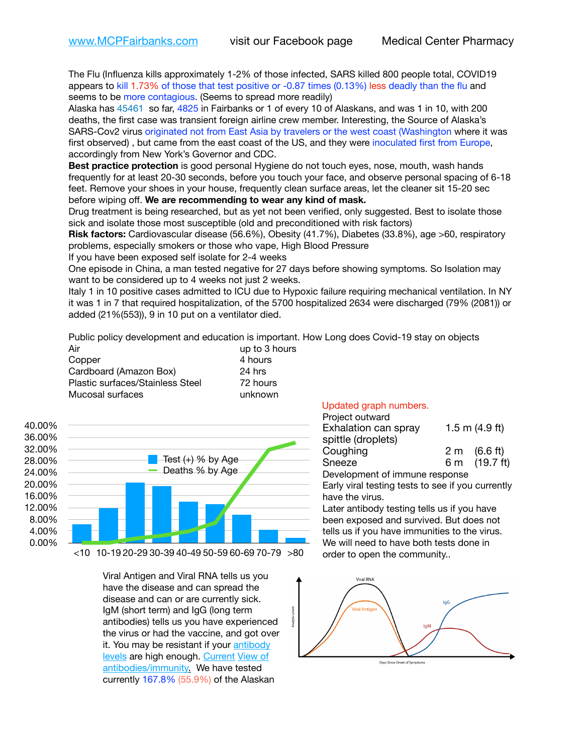The Flu (Influenza kills approximately 1-2% of those infected, SARS killed 800 people total, COVID19 appears to kill 1.73% of those that test positive or -0.87 times (0.13%) less deadly than the flu and seems to be more contagious. (Seems to spread more readily)

Alaska has 45461 so far, 4825 in Fairbanks or 1 of every 10 of Alaskans, and was 1 in 10, with 200 deaths, the first case was transient foreign airline crew member. Interesting, the Source of Alaska's SARS-Cov2 virus originated not from East Asia by travelers or the west coast (Washington where it was first observed) , but came from the east coast of the US, and they were inoculated first from Europe, accordingly from New York's Governor and CDC.

**Best practice protection** is good personal Hygiene do not touch eyes, nose, mouth, wash hands frequently for at least 20-30 seconds, before you touch your face, and observe personal spacing of 6-18 feet. Remove your shoes in your house, frequently clean surface areas, let the cleaner sit 15-20 sec before wiping off. **We are recommending to wear any kind of mask.**

Drug treatment is being researched, but as yet not been verified, only suggested. Best to isolate those sick and isolate those most susceptible (old and preconditioned with risk factors)

**Risk factors:** Cardiovascular disease (56.6%), Obesity (41.7%), Diabetes (33.8%), age >60, respiratory problems, especially smokers or those who vape, High Blood Pressure

If you have been exposed self isolate for 2-4 weeks

One episode in China, a man tested negative for 27 days before showing symptoms. So Isolation may want to be considered up to 4 weeks not just 2 weeks.

Italy 1 in 10 positive cases admitted to ICU due to Hypoxic failure requiring mechanical ventilation. In NY it was 1 in 7 that required hospitalization, of the 5700 hospitalized 2634 were discharged (79% (2081)) or added (21%(553)), 9 in 10 put on a ventilator died.

ivels

Public policy development and education is important. How Long does Covid-19 stay on objects

| Air                              | up to 3 hours |
|----------------------------------|---------------|
| Copper                           | 4 hours       |
| Cardboard (Amazon Box)           | 24 hrs        |
| Plastic surfaces/Stainless Steel | 72 hours      |
| Mucosal surfaces                 | unknown       |



Viral Antigen and Viral RNA tells us you have the disease and can spread the disease and can or are currently sick. IgM (short term) and IgG (long term antibodies) tells us you have experienced the virus or had the vaccine, and got over it. You may be resistant if your [antibody](https://www.cdc.gov/coronavirus/2019-ncov/lab/resources/antibody-tests.html)  [levels](https://www.cdc.gov/coronavirus/2019-ncov/lab/resources/antibody-tests.html) are high enough. [Current](https://l.facebook.com/l.php?u=https://www.itv.com/news/2020-10-26/covid-19-antibody-levels-reduce-over-time-study-finds?fbclid=IwAR3Dapzh1qIH1EIOdUQI2y8THf7jfA4KBCaJz8Qg-8xe1YsrR4nsAHDIXSY&h=AT30nut8pkqp0heVuz5W2rT2WFFm-2Ab52BsJxZZCNlGsX58IpPkuVEPULbIUV_M16MAukx1Kwb657DPXxsgDN1rpOQ4gqBtQsmVYiWpnHPJo2RQsU6CPMd14lgLnQnFWxfVi6zvmw&__tn__=-UK-R&c%5B0%5D=AT1GaRAfR_nGAyqcn7TI1-PpvqOqEKXHnz6TDWvRStMnOSH7boQDvTiwTOc6VId9UES6LKiOmm2m88wKCoolkJyOFvakt2Z1Mw8toYWGGoWW23r0MNVBl7cYJXB_UOvGklNHaNnaNr1_S7NhT3BSykNOBg) [View of](https://www.livescience.com/antibodies.html)  [antibodies/immunity](https://www.livescience.com/antibodies.html)[.](https://www.itv.com/news/2020-10-26/covid-19-antibody-levels-reduce-over-time-study-finds) We have tested currently 167.8% (55.9%) of the Alaskan

## Updated graph numbers.

| Project outward                |                        |
|--------------------------------|------------------------|
| Exhalation can spray           | 1.5 m $(4.9 ft)$       |
| spittle (droplets)             |                        |
| Coughing                       | $2 \text{ m}$ (6.6 ft) |
| Sneeze                         | 6 m (19.7 ft)          |
| Development of immune response |                        |

Early viral testing tests to see if you currently have the virus.

Later antibody testing tells us if you have been exposed and survived. But does not tells us if you have immunities to the virus. We will need to have both tests done in order to open the community..



Days Since Onset of Symptoms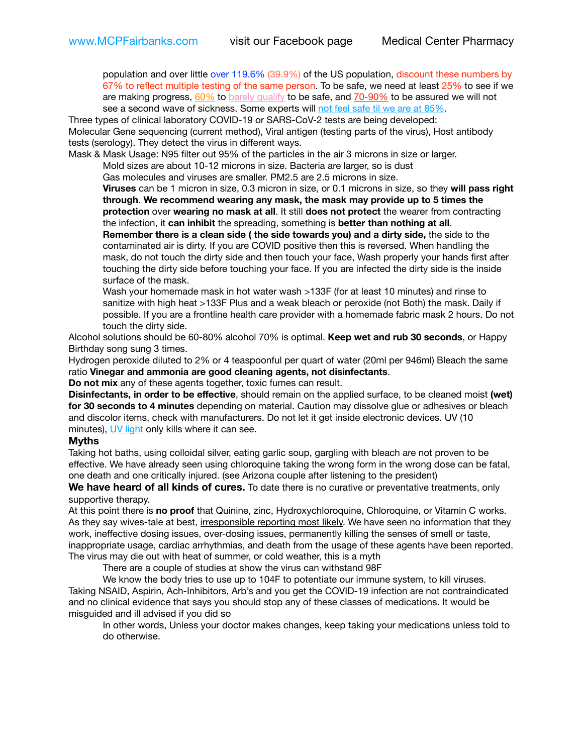population and over little over 119.6% (39.9%) of the US population, discount these numbers by 67% to reflect multiple testing of the same person. To be safe, we need at least 25% to see if we are making progress,  $60\%$  to [barely qualify](https://www.nature.com/articles/d41586-020-02948-4) to be safe, and  $70-90\%$  to be assured we will not see a second wave of sickness. Some experts will [not feel safe til we are at 85%.](https://www.bannerhealth.com/healthcareblog/teach-me/what-is-herd-immunity)

Three types of clinical laboratory COVID-19 or SARS-CoV-2 tests are being developed: Molecular Gene sequencing (current method), Viral antigen (testing parts of the virus), Host antibody tests (serology). They detect the virus in different ways.

Mask & Mask Usage: N95 filter out 95% of the particles in the air 3 microns in size or larger.

Mold sizes are about 10-12 microns in size. Bacteria are larger, so is dust

Gas molecules and viruses are smaller. PM2.5 are 2.5 microns in size.

**Viruses** can be 1 micron in size, 0.3 micron in size, or 0.1 microns in size, so they **will pass right through**. **We recommend wearing any mask, the mask may provide up to 5 times the protection** over **wearing no mask at all**. It still **does not protect** the wearer from contracting the infection, it **can inhibit** the spreading, something is **better than nothing at all**.

**Remember there is a clean side ( the side towards you) and a dirty side,** the side to the contaminated air is dirty. If you are COVID positive then this is reversed. When handling the mask, do not touch the dirty side and then touch your face, Wash properly your hands first after touching the dirty side before touching your face. If you are infected the dirty side is the inside surface of the mask.

Wash your homemade mask in hot water wash >133F (for at least 10 minutes) and rinse to sanitize with high heat >133F Plus and a weak bleach or peroxide (not Both) the mask. Daily if possible. If you are a frontline health care provider with a homemade fabric mask 2 hours. Do not touch the dirty side.

Alcohol solutions should be 60-80% alcohol 70% is optimal. **Keep wet and rub 30 seconds**, or Happy Birthday song sung 3 times.

Hydrogen peroxide diluted to 2% or 4 teaspoonful per quart of water (20ml per 946ml) Bleach the same ratio **Vinegar and ammonia are good cleaning agents, not disinfectants**.

**Do not mix** any of these agents together, toxic fumes can result.

**Disinfectants, in order to be effective**, should remain on the applied surface, to be cleaned moist **(wet) for 30 seconds to 4 minutes** depending on material. Caution may dissolve glue or adhesives or bleach and discolor items, check with manufacturers. Do not let it get inside electronic devices. UV (10 minutes), [UV light](http://www.docreviews.me/best-uv-boxes-2020/?fbclid=IwAR3bvFtXB48OoBBSvYvTEnKuHNPbipxM6jUo82QUSw9wckxjC7wwRZWabGw) only kills where it can see.

## **Myths**

Taking hot baths, using colloidal silver, eating garlic soup, gargling with bleach are not proven to be effective. We have already seen using chloroquine taking the wrong form in the wrong dose can be fatal, one death and one critically injured. (see Arizona couple after listening to the president)

**We have heard of all kinds of cures.** To date there is no curative or preventative treatments, only supportive therapy.

At this point there is **no proof** that Quinine, zinc, Hydroxychloroquine, Chloroquine, or Vitamin C works. As they say wives-tale at best, irresponsible reporting most likely. We have seen no information that they work, ineffective dosing issues, over-dosing issues, permanently killing the senses of smell or taste, inappropriate usage, cardiac arrhythmias, and death from the usage of these agents have been reported. The virus may die out with heat of summer, or cold weather, this is a myth

There are a couple of studies at show the virus can withstand 98F

We know the body tries to use up to 104F to potentiate our immune system, to kill viruses. Taking NSAID, Aspirin, Ach-Inhibitors, Arb's and you get the COVID-19 infection are not contraindicated and no clinical evidence that says you should stop any of these classes of medications. It would be misguided and ill advised if you did so

In other words, Unless your doctor makes changes, keep taking your medications unless told to do otherwise.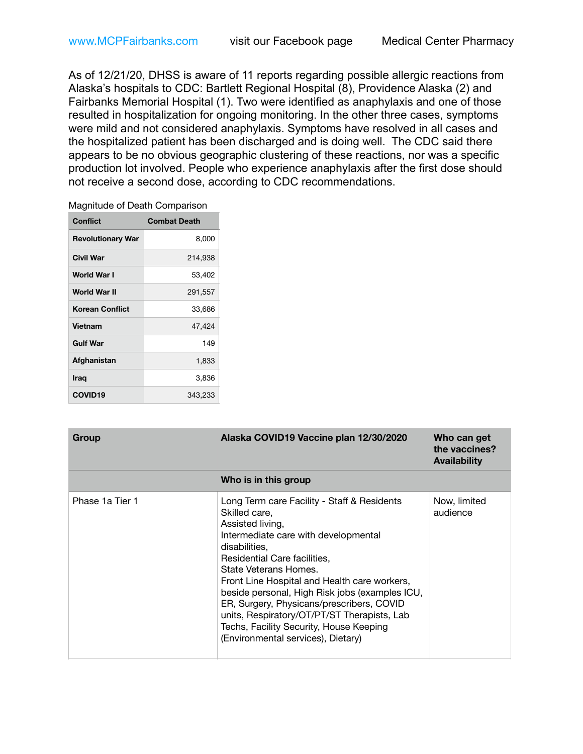As of 12/21/20, DHSS is aware of 11 reports regarding possible allergic reactions from Alaska's hospitals to CDC: Bartlett Regional Hospital (8), Providence Alaska (2) and Fairbanks Memorial Hospital (1). Two were identified as anaphylaxis and one of those resulted in hospitalization for ongoing monitoring. In the other three cases, symptoms were mild and not considered anaphylaxis. Symptoms have resolved in all cases and the hospitalized patient has been discharged and is doing well. The CDC said there appears to be no obvious geographic clustering of these reactions, nor was a specific production lot involved. People who experience anaphylaxis after the first dose should not receive a second dose, according to CDC recommendations.

| Magnitude of Death Comparison |
|-------------------------------|
|-------------------------------|

| <b>Conflict</b>          | <b>Combat Death</b> |
|--------------------------|---------------------|
| <b>Revolutionary War</b> | 8,000               |
| Civil War                | 214,938             |
| World War I              | 53,402              |
| World War II             | 291,557             |
| <b>Korean Conflict</b>   | 33,686              |
| Vietnam                  | 47,424              |
| <b>Gulf War</b>          | 149                 |
| Afghanistan              | 1,833               |
| Iraq                     | 3,836               |
| <b>COVID19</b>           | 343,233             |

| Group           | Alaska COVID19 Vaccine plan 12/30/2020                                                                                                                                                                                                                                                                                                                                                                                                                                            | Who can get<br>the vaccines?<br><b>Availability</b> |
|-----------------|-----------------------------------------------------------------------------------------------------------------------------------------------------------------------------------------------------------------------------------------------------------------------------------------------------------------------------------------------------------------------------------------------------------------------------------------------------------------------------------|-----------------------------------------------------|
|                 | Who is in this group                                                                                                                                                                                                                                                                                                                                                                                                                                                              |                                                     |
| Phase 1a Tier 1 | Long Term care Facility - Staff & Residents<br>Skilled care.<br>Assisted living,<br>Intermediate care with developmental<br>disabilities.<br>Residential Care facilities,<br>State Veterans Homes.<br>Front Line Hospital and Health care workers,<br>beside personal, High Risk jobs (examples ICU,<br>ER, Surgery, Physicans/prescribers, COVID<br>units, Respiratory/OT/PT/ST Therapists, Lab<br>Techs, Facility Security, House Keeping<br>(Environmental services), Dietary) | Now, limited<br>audience                            |